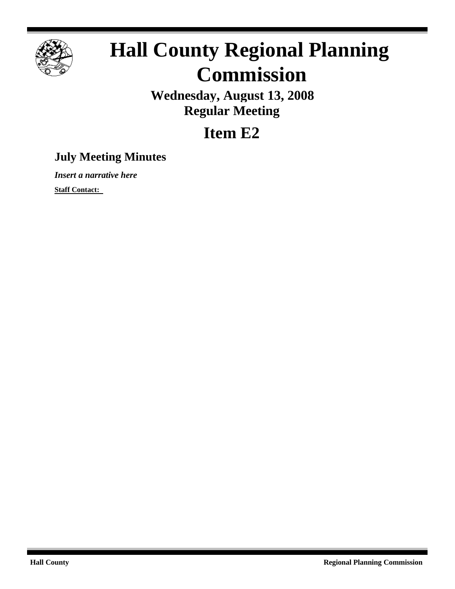

# **Hall County Regional Planning Commission**

**Wednesday, August 13, 2008 Regular Meeting**

## **Item E2**

### **July Meeting Minutes**

*Insert a narrative here*

**Staff Contact:**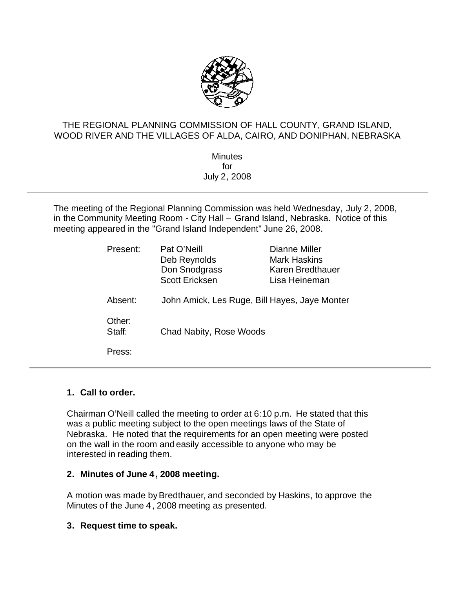

#### THE REGIONAL PLANNING COMMISSION OF HALL COUNTY, GRAND ISLAND, WOOD RIVER AND THE VILLAGES OF ALDA, CAIRO, AND DONIPHAN, NEBRASKA

**Minutes** for July 2, 2008

The meeting of the Regional Planning Commission was held Wednesday, July 2, 2008, in the Community Meeting Room - City Hall – Grand Island, Nebraska. Notice of this meeting appeared in the "Grand Island Independent" June 26, 2008.

| Present:         | Pat O'Neill<br>Deb Reynolds<br>Don Snodgrass<br><b>Scott Ericksen</b> | Dianne Miller<br><b>Mark Haskins</b><br>Karen Bredthauer<br>Lisa Heineman |
|------------------|-----------------------------------------------------------------------|---------------------------------------------------------------------------|
| Absent:          | John Amick, Les Ruge, Bill Hayes, Jaye Monter                         |                                                                           |
| Other:<br>Staff: | Chad Nabity, Rose Woods                                               |                                                                           |
| Press:           |                                                                       |                                                                           |

#### **1. Call to order.**

Chairman O'Neill called the meeting to order at 6:10 p.m. He stated that this was a public meeting subject to the open meetings laws of the State of Nebraska. He noted that the requirements for an open meeting were posted on the wall in the room and easily accessible to anyone who may be interested in reading them.

#### **2. Minutes of June 4, 2008 meeting.**

A motion was made byBredthauer, and seconded by Haskins, to approve the Minutes of the June 4, 2008 meeting as presented.

#### **3. Request time to speak.**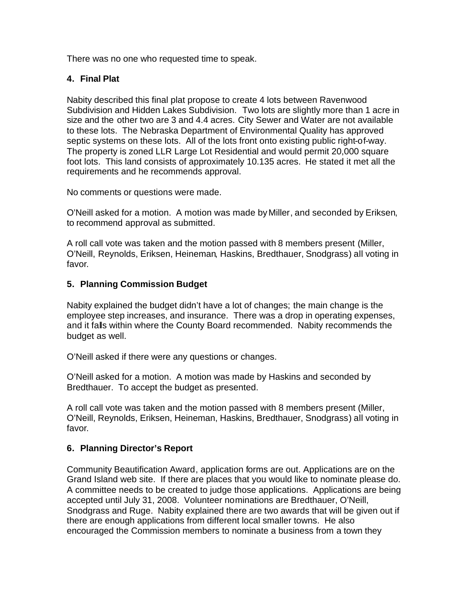There was no one who requested time to speak.

#### **4. Final Plat**

Nabity described this final plat propose to create 4 lots between Ravenwood Subdivision and Hidden Lakes Subdivision. Two lots are slightly more than 1 acre in size and the other two are 3 and 4.4 acres. City Sewer and Water are not available to these lots. The Nebraska Department of Environmental Quality has approved septic systems on these lots. All of the lots front onto existing public right-of-way. The property is zoned LLR Large Lot Residential and would permit 20,000 square foot lots. This land consists of approximately 10.135 acres. He stated it met all the requirements and he recommends approval.

No comments or questions were made.

O'Neill asked for a motion. A motion was made byMiller, and seconded by Eriksen, to recommend approval as submitted.

A roll call vote was taken and the motion passed with 8 members present (Miller, O'Neill, Reynolds, Eriksen, Heineman, Haskins, Bredthauer, Snodgrass) all voting in favor.

#### **5. Planning Commission Budget**

Nabity explained the budget didn't have a lot of changes; the main change is the employee step increases, and insurance. There was a drop in operating expenses, and it falls within where the County Board recommended. Nabity recommends the budget as well.

O'Neill asked if there were any questions or changes.

O'Neill asked for a motion. A motion was made by Haskins and seconded by Bredthauer. To accept the budget as presented.

A roll call vote was taken and the motion passed with 8 members present (Miller, O'Neill, Reynolds, Eriksen, Heineman, Haskins, Bredthauer, Snodgrass) all voting in favor.

#### **6. Planning Director's Report**

Community Beautification Award, application forms are out. Applications are on the Grand Island web site. If there are places that you would like to nominate please do. A committee needs to be created to judge those applications. Applications are being accepted until July 31, 2008. Volunteer nominations are Bredthauer, O'Neill, Snodgrass and Ruge. Nabity explained there are two awards that will be given out if there are enough applications from different local smaller towns. He also encouraged the Commission members to nominate a business from a town they